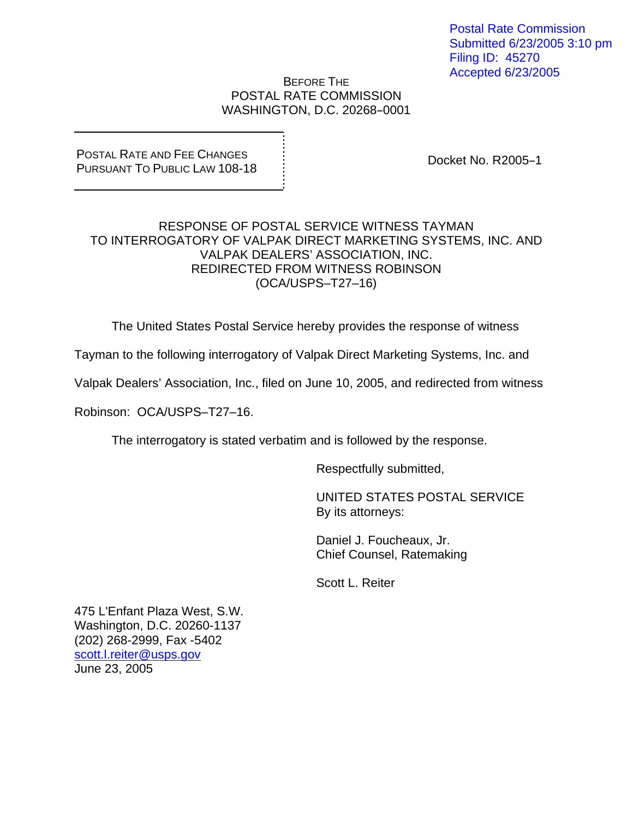Postal Rate Commission Submitted 6/23/2005 3:10 pm Filing ID: 45270 Accepted 6/23/2005

BEFORE THE POSTAL RATE COMMISSION WASHINGTON, D.C. 20268-0001

#### POSTAL RATE AND FEE CHANGES POSTAL RATE AND FEE CHANGES<br>PURSUANT TO PUBLIC LAW 108-18

### RESPONSE OF POSTAL SERVICE WITNESS TAYMAN TO INTERROGATORY OF VALPAK DIRECT MARKETING SYSTEMS, INC. AND VALPAK DEALERS' ASSOCIATION, INC. REDIRECTED FROM WITNESS ROBINSON (OCA/USPS–T27–16)

The United States Postal Service hereby provides the response of witness

Tayman to the following interrogatory of Valpak Direct Marketing Systems, Inc. and

Valpak Dealers' Association, Inc., filed on June 10, 2005, and redirected from witness

Robinson: OCA/USPS–T27–16.

The interrogatory is stated verbatim and is followed by the response.

Respectfully submitted,

 UNITED STATES POSTAL SERVICE By its attorneys:

 Daniel J. Foucheaux, Jr. Chief Counsel, Ratemaking

Scott L. Reiter

475 L'Enfant Plaza West, S.W. Washington, D.C. 20260-1137 (202) 268-2999, Fax -5402 scott.l.reiter@usps.gov June 23, 2005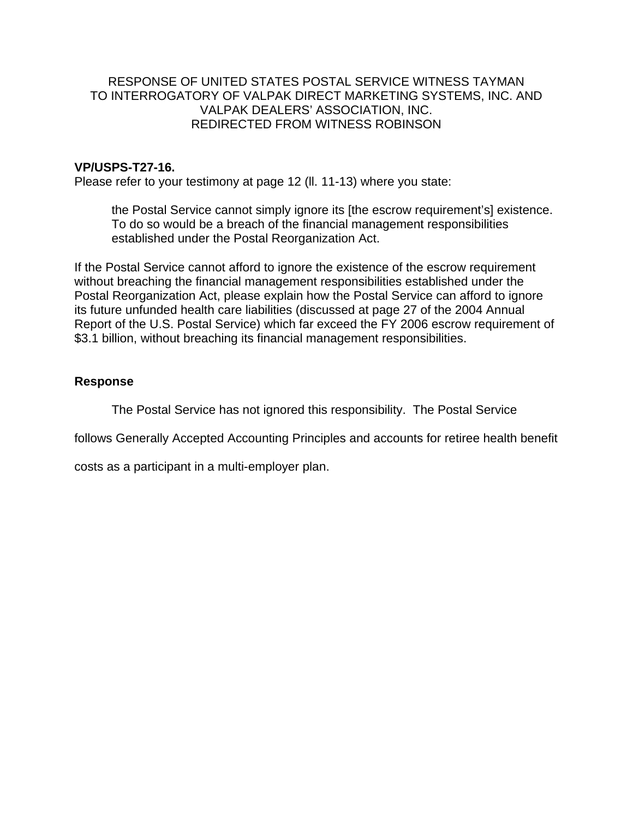### RESPONSE OF UNITED STATES POSTAL SERVICE WITNESS TAYMAN TO INTERROGATORY OF VALPAK DIRECT MARKETING SYSTEMS, INC. AND VALPAK DEALERS' ASSOCIATION, INC. REDIRECTED FROM WITNESS ROBINSON

## **VP/USPS-T27-16.**

Please refer to your testimony at page 12 (ll. 11-13) where you state:

the Postal Service cannot simply ignore its [the escrow requirement's] existence. To do so would be a breach of the financial management responsibilities established under the Postal Reorganization Act.

If the Postal Service cannot afford to ignore the existence of the escrow requirement without breaching the financial management responsibilities established under the Postal Reorganization Act, please explain how the Postal Service can afford to ignore its future unfunded health care liabilities (discussed at page 27 of the 2004 Annual Report of the U.S. Postal Service) which far exceed the FY 2006 escrow requirement of \$3.1 billion, without breaching its financial management responsibilities.

#### **Response**

The Postal Service has not ignored this responsibility. The Postal Service

follows Generally Accepted Accounting Principles and accounts for retiree health benefit

costs as a participant in a multi-employer plan.